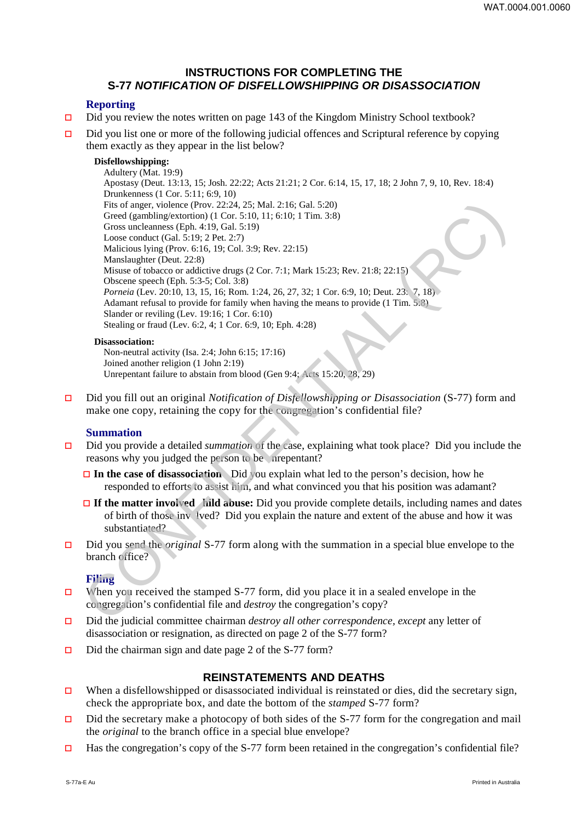# **INSTRUCTIONS FOR COMPLETING THE S-77 NOTIFICATION OF DISFELLOWSHIPPING OR DISASSOCIATION**

## **Reporting**

- $\Box$  Did you review the notes written on page 143 of the Kingdom Ministry School textbook?
- $\Box$  Did you list one or more of the following judicial offences and Scriptural reference by copying them exactly as they appear in the list below?

### **Disfellowshipping:**

Adultery (Mat. 19:9) Apostasy (Deut. 13:13, 15; Josh. 22:22; Acts 21:21; 2 Cor. 6:14, 15, 17, 18; 2 John 7, 9, 10, Rev. 18:4) Drunkenness (1 Cor. 5:11; 6:9, 10) Fits of anger, violence (Prov. 22:24, 25; Mal. 2:16; Gal. 5:20) Greed (gambling/extortion) (1 Cor. 5:10, 11; 6:10; 1 Tim. 3:8) Gross uncleanness (Eph. 4:19, Gal. 5:19) Loose conduct (Gal. 5:19; 2 Pet. 2:7) Malicious lying (Prov. 6:16, 19; Col. 3:9; Rev. 22:15) Manslaughter (Deut. 22:8) Misuse of tobacco or addictive drugs (2 Cor. 7:1; Mark 15:23; Rev. 21:8; 22:15) Obscene speech (Eph. 5:3-5; Col. 3:8) *Porneia* (Lev. 20:10, 13, 15, 16; Rom. 1:24, 26, 27, 32; 1 Cor. 6:9, 10; Deut. 23: 7, 18) Adamant refusal to provide for family when having the means to provide (1 Tim. 5:8) Slander or reviling (Lev. 19:16; 1 Cor. 6:10) Stealing or fraud (Lev. 6:2, 4; 1 Cor. 6:9, 10; Eph. 4:28) Fits or age, violence (Prov. 22:24, 25): Mal. 2:16; Gal. 5:20)<br>
Greed (gambling-exotrion) (1 Cot. 5:10, 11: 6:10: 1 Tim, 3:8)<br>
Gross uncelaments (Eip, 4:19, Oal. 5:19)<br>
Loos conduct (Gal. 5:19; 2 Pet. 2:7)<br>
Malsicus by fi

#### **Disassociation:**

Non-neutral activity (Isa. 2:4; John 6:15; 17:16) Joined another religion (1 John 2:19) Unrepentant failure to abstain from blood (Gen 9:4; Acts 15:20, 28, 29)

 Did you fill out an original *Notification of Disfellowshipping or Disassociation* (S-77) form and make one copy, retaining the copy for the congregation's confidential file?

#### **Summation**

- Did you provide a detailed *summation* of the case, explaining what took place? Did you include the reasons why you judged the person to be nrepentant?
	- **□ In the case of disassociation** Did you explain what led to the person's decision, how he responded to efforts to assist him, and what convinced you that his position was adamant?
	- **If the matter involved hild abuse:** Did you provide complete details, including names and dates of birth of those inv lved? Did you explain the nature and extent of the abuse and how it was substantiated?
- Did you send the *original* S-77 form along with the summation in a special blue envelope to the branch office?

### **Filing**

- When you received the stamped S-77 form, did you place it in a sealed envelope in the congregation's confidential file and *destroy* the congregation's copy?
- Did the judicial committee chairman *destroy all other correspondence, except* any letter of disassociation or resignation, as directed on page 2 of the S-77 form?
- $\Box$  Did the chairman sign and date page 2 of the S-77 form?

# **REINSTATEMENTS AND DEATHS**

- When a disfellowshipped or disassociated individual is reinstated or dies, did the secretary sign, check the appropriate box, and date the bottom of the *stamped* S-77 form?
- $\Box$  Did the secretary make a photocopy of both sides of the S-77 form for the congregation and mail the *original* to the branch office in a special blue envelope?
- Has the congregation's copy of the S-77 form been retained in the congregation's confidential file?